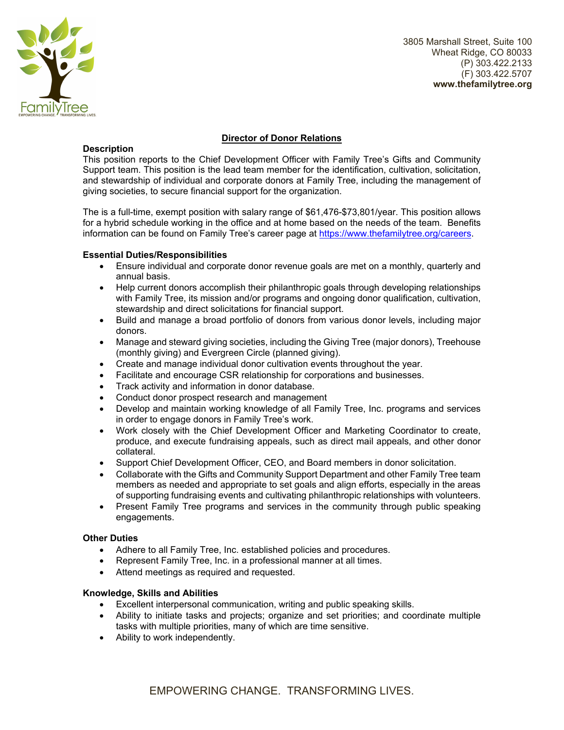

3805 Marshall Street, Suite 100 Wheat Ridge, CO 80033 (P) 303.422.2133 (F) 303.422.5707 **www.thefamilytree.org** 

# **Director of Donor Relations**

# **Description**

This position reports to the Chief Development Officer with Family Tree's Gifts and Community Support team. This position is the lead team member for the identification, cultivation, solicitation, and stewardship of individual and corporate donors at Family Tree, including the management of giving societies, to secure financial support for the organization.

The is a full-time, exempt position with salary range of \$61,476-\$73,801/year. This position allows for a hybrid schedule working in the office and at home based on the needs of the team. Benefits information can be found on Family Tree's career page at https://www.thefamilytree.org/careers.

### **Essential Duties/Responsibilities**

- Ensure individual and corporate donor revenue goals are met on a monthly, quarterly and annual basis.
- Help current donors accomplish their philanthropic goals through developing relationships with Family Tree, its mission and/or programs and ongoing donor qualification, cultivation, stewardship and direct solicitations for financial support.
- Build and manage a broad portfolio of donors from various donor levels, including major donors.
- Manage and steward giving societies, including the Giving Tree (major donors), Treehouse (monthly giving) and Evergreen Circle (planned giving).
- Create and manage individual donor cultivation events throughout the year.
- Facilitate and encourage CSR relationship for corporations and businesses.
- Track activity and information in donor database.
- Conduct donor prospect research and management
- Develop and maintain working knowledge of all Family Tree, Inc. programs and services in order to engage donors in Family Tree's work.
- Work closely with the Chief Development Officer and Marketing Coordinator to create, produce, and execute fundraising appeals, such as direct mail appeals, and other donor collateral.
- Support Chief Development Officer, CEO, and Board members in donor solicitation.
- Collaborate with the Gifts and Community Support Department and other Family Tree team members as needed and appropriate to set goals and align efforts, especially in the areas of supporting fundraising events and cultivating philanthropic relationships with volunteers.
- Present Family Tree programs and services in the community through public speaking engagements.

#### **Other Duties**

- Adhere to all Family Tree, Inc. established policies and procedures.
- Represent Family Tree, Inc. in a professional manner at all times.
- Attend meetings as required and requested.

#### **Knowledge, Skills and Abilities**

- Excellent interpersonal communication, writing and public speaking skills.
- Ability to initiate tasks and projects; organize and set priorities; and coordinate multiple tasks with multiple priorities, many of which are time sensitive.
- Ability to work independently.